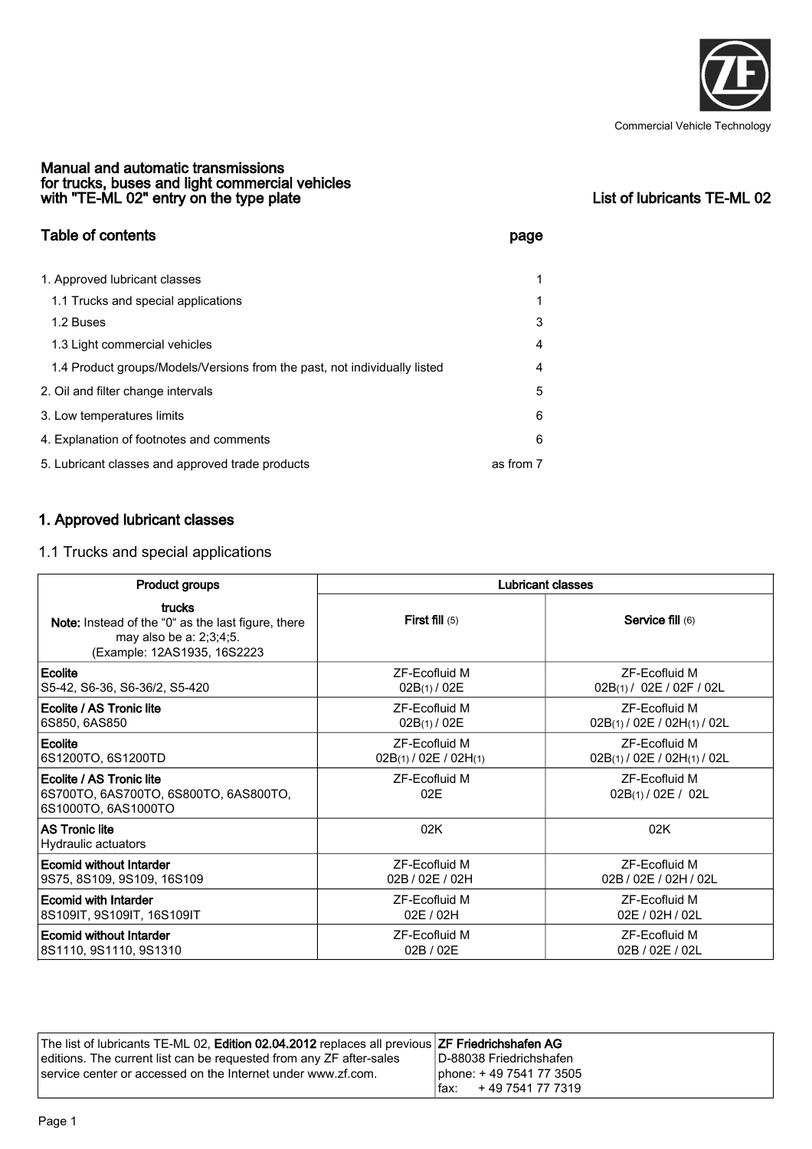

#### Manual and automatic transmissions for trucks, buses and light commercial vehicles with "TE-ML 02" entry on the type plate List of lubricants TE-ML 02

| <b>Table of contents</b>                                                  | page      |  |
|---------------------------------------------------------------------------|-----------|--|
| 1. Approved lubricant classes                                             | 1         |  |
| 1.1 Trucks and special applications                                       | 1         |  |
| 1.2 Buses                                                                 | 3         |  |
| 1.3 Light commercial vehicles                                             | 4         |  |
| 1.4 Product groups/Models/Versions from the past, not individually listed | 4         |  |
| 2. Oil and filter change intervals                                        | 5         |  |
| 3. Low temperatures limits                                                | 6         |  |
| 4. Explanation of footnotes and comments                                  | 6         |  |
| 5. Lubricant classes and approved trade products                          | as from 7 |  |

# 1. Approved lubricant classes

## 1.1 Trucks and special applications

| Product groups                                                                                                         | <b>Lubricant classes</b> |                                     |  |
|------------------------------------------------------------------------------------------------------------------------|--------------------------|-------------------------------------|--|
| trucks<br>Note: Instead of the "0" as the last figure, there<br>may also be a: 2;3;4;5.<br>(Example: 12AS1935, 16S2223 | <b>First fill</b> $(5)$  | Service fill (6)                    |  |
| Ecolite                                                                                                                | ZF-Ecofluid M            | ZF-Ecofluid M                       |  |
| S5-42, S6-36, S6-36/2, S5-420                                                                                          | 02B(1) / 02E             | 02B(1) / 02E / 02F / 02L            |  |
| Ecolite / AS Tronic lite                                                                                               | ZF-Ecofluid M            | <b>ZF-Fcofluid M</b>                |  |
| 6S850, 6AS850                                                                                                          | 02B(1) / 02E             | $02B(1)$ / $02E$ / $02H(1)$ / $02L$ |  |
| Ecolite                                                                                                                | <b>7F-Fcofluid M</b>     | <b>7F-Fcofluid M</b>                |  |
| 6S1200TO, 6S1200TD                                                                                                     | 02B(1)/02E/02H(1)        | $02B(1)$ / $02E$ / $02H(1)$ / $02L$ |  |
| Ecolite / AS Tronic lite<br> 6S700TO, 6AS700TO, 6S800TO, 6AS800TO,<br>6S1000TO, 6AS1000TO                              | ZF-Ecofluid M<br>02E     | ZF-Ecofluid M<br>02B(1)/02E/02L     |  |
| <b>AS Tronic lite</b><br>Hydraulic actuators                                                                           | 02K                      | 02K                                 |  |
| Ecomid without Intarder                                                                                                | ZF-Ecofluid M            | <b>ZF-Ecofluid M</b>                |  |
| 9S75, 8S109, 9S109, 16S109                                                                                             | 02B / 02E / 02H          | 02B / 02E / 02H / 02L               |  |
| Ecomid with Intarder                                                                                                   | ZF-Ecofluid M            | ZF-Ecofluid M                       |  |
| 8S109IT, 9S109IT, 16S109IT                                                                                             | 02E / 02H                | 02E / 02H / 02L                     |  |
| Ecomid without Intarder                                                                                                | ZF-Ecofluid M            | ZF-Ecofluid M                       |  |
| 8S1110, 9S1110, 9S1310                                                                                                 | 02B / 02E                | 02B / 02E / 02L                     |  |

| The list of lubricants TE-ML 02, <b>Edition 02.04.2012</b> replaces all previous <b>ZF Friedrichshafen AG</b> |                           |
|---------------------------------------------------------------------------------------------------------------|---------------------------|
| editions. The current list can be requested from any ZF after-sales                                           | ID-88038 Friedrichshafen_ |
| service center or accessed on the Internet under www.zf.com.                                                  | phone: +49 7541 77 3505   |
|                                                                                                               | +49 7541 77 7319<br>fax:  |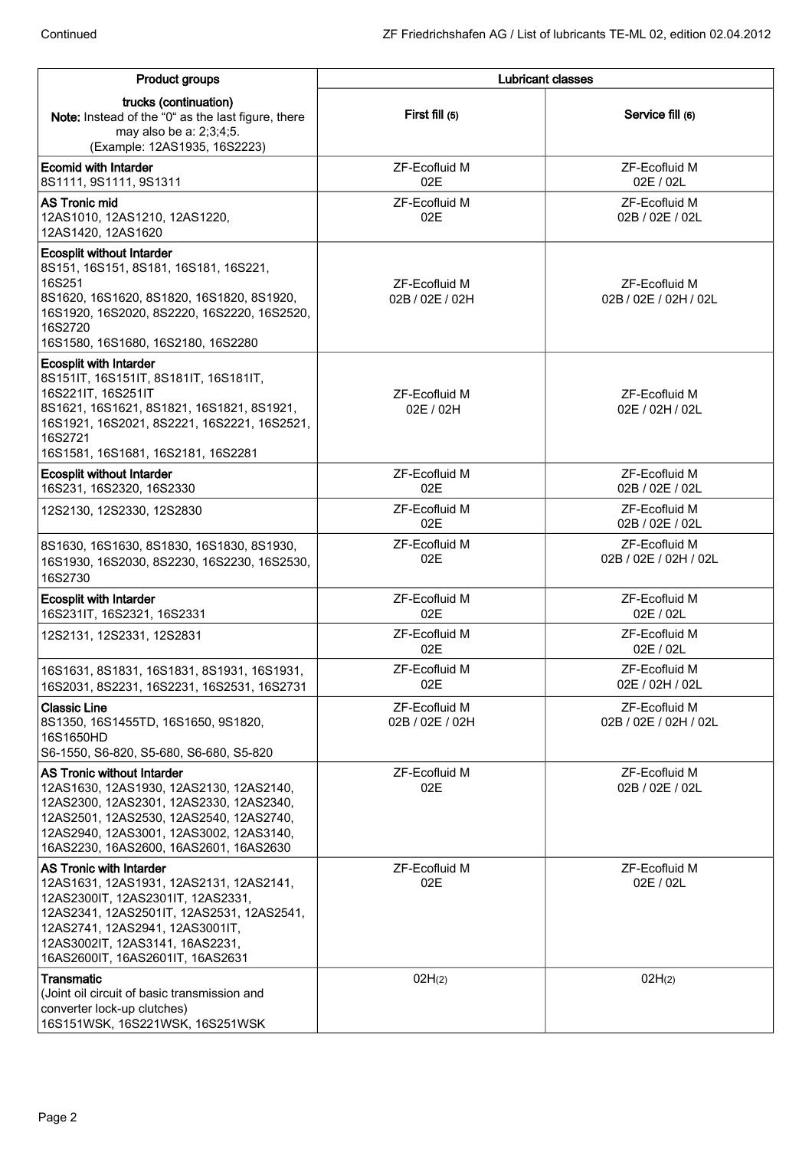| Product groups                                                                                                                                                                                                                                                        | <b>Lubricant classes</b>         |                                        |  |
|-----------------------------------------------------------------------------------------------------------------------------------------------------------------------------------------------------------------------------------------------------------------------|----------------------------------|----------------------------------------|--|
| trucks (continuation)<br>Note: Instead of the "0" as the last figure, there<br>may also be a: 2;3;4;5.<br>(Example: 12AS1935, 16S2223)                                                                                                                                | First fill (5)                   | Service fill (6)                       |  |
| <b>Ecomid with Intarder</b><br>8S1111, 9S1111, 9S1311                                                                                                                                                                                                                 | ZF-Ecofluid M<br>02E             | ZF-Ecofluid M<br>02E / 02L             |  |
| <b>AS Tronic mid</b><br>12AS1010, 12AS1210, 12AS1220,<br>12AS1420, 12AS1620                                                                                                                                                                                           | ZF-Ecofluid M<br>02E             | ZF-Ecofluid M<br>02B / 02E / 02L       |  |
| <b>Ecosplit without Intarder</b><br>8S151, 16S151, 8S181, 16S181, 16S221,<br>16S251<br>8S1620, 16S1620, 8S1820, 16S1820, 8S1920,<br>16S1920, 16S2020, 8S2220, 16S2220, 16S2520,<br>16S2720<br>16S1580, 16S1680, 16S2180, 16S2280                                      | ZF-Ecofluid M<br>02B / 02E / 02H | ZF-Ecofluid M<br>02B / 02E / 02H / 02L |  |
| <b>Ecosplit with Intarder</b><br>8S151IT, 16S151IT, 8S181IT, 16S181IT,<br>16S221IT, 16S251IT<br>8S1621, 16S1621, 8S1821, 16S1821, 8S1921,<br>16S1921, 16S2021, 8S2221, 16S2221, 16S2521,<br>16S2721<br>16S1581, 16S1681, 16S2181, 16S2281                             | ZF-Ecofluid M<br>02E / 02H       | ZF-Ecofluid M<br>02E / 02H / 02L       |  |
| <b>Ecosplit without Intarder</b><br>16S231, 16S2320, 16S2330                                                                                                                                                                                                          | ZF-Ecofluid M<br>02E             | ZF-Ecofluid M<br>02B / 02E / 02L       |  |
| 12S2130, 12S2330, 12S2830                                                                                                                                                                                                                                             | ZF-Ecofluid M<br>02E             | ZF-Ecofluid M<br>02B / 02E / 02L       |  |
| 8S1630, 16S1630, 8S1830, 16S1830, 8S1930,<br>16S1930, 16S2030, 8S2230, 16S2230, 16S2530,<br>16S2730                                                                                                                                                                   | ZF-Ecofluid M<br>02E             | ZF-Ecofluid M<br>02B / 02E / 02H / 02L |  |
| <b>Ecosplit with Intarder</b><br>16S231IT, 16S2321, 16S2331                                                                                                                                                                                                           | ZF-Ecofluid M<br>02E             | ZF-Ecofluid M<br>02E / 02L             |  |
| 12S2131, 12S2331, 12S2831                                                                                                                                                                                                                                             | ZF-Ecofluid M<br>02E             | ZF-Ecofluid M<br>02E / 02L             |  |
| 16S1631, 8S1831, 16S1831, 8S1931, 16S1931,<br>16S2031, 8S2231, 16S2231, 16S2531, 16S2731                                                                                                                                                                              | ZF-Ecofluid M<br>02E             | ZF-Ecofluid M<br>02E / 02H / 02L       |  |
| <b>Classic Line</b><br>8S1350, 16S1455TD, 16S1650, 9S1820,<br>16S1650HD<br>S6-1550, S6-820, S5-680, S6-680, S5-820                                                                                                                                                    | ZF-Ecofluid M<br>02B / 02E / 02H | ZF-Ecofluid M<br>02B / 02E / 02H / 02L |  |
| <b>AS Tronic without Intarder</b><br>12AS1630, 12AS1930, 12AS2130, 12AS2140,<br>12AS2300, 12AS2301, 12AS2330, 12AS2340,<br>12AS2501, 12AS2530, 12AS2540, 12AS2740,<br>12AS2940, 12AS3001, 12AS3002, 12AS3140,<br>16AS2230, 16AS2600, 16AS2601, 16AS2630               | ZF-Ecofluid M<br>02E             | ZF-Ecofluid M<br>02B / 02E / 02L       |  |
| <b>AS Tronic with Intarder</b><br>12AS1631, 12AS1931, 12AS2131, 12AS2141,<br>12AS2300IT, 12AS2301IT, 12AS2331,<br>12AS2341, 12AS2501IT, 12AS2531, 12AS2541,<br>12AS2741, 12AS2941, 12AS3001IT,<br>12AS3002IT, 12AS3141, 16AS2231,<br>16AS2600IT, 16AS2601IT, 16AS2631 | ZF-Ecofluid M<br>02E             | ZF-Ecofluid M<br>02E / 02L             |  |
| Transmatic<br>(Joint oil circuit of basic transmission and<br>converter lock-up clutches)<br>16S151WSK, 16S221WSK, 16S251WSK                                                                                                                                          | 02H(2)                           | 02H(2)                                 |  |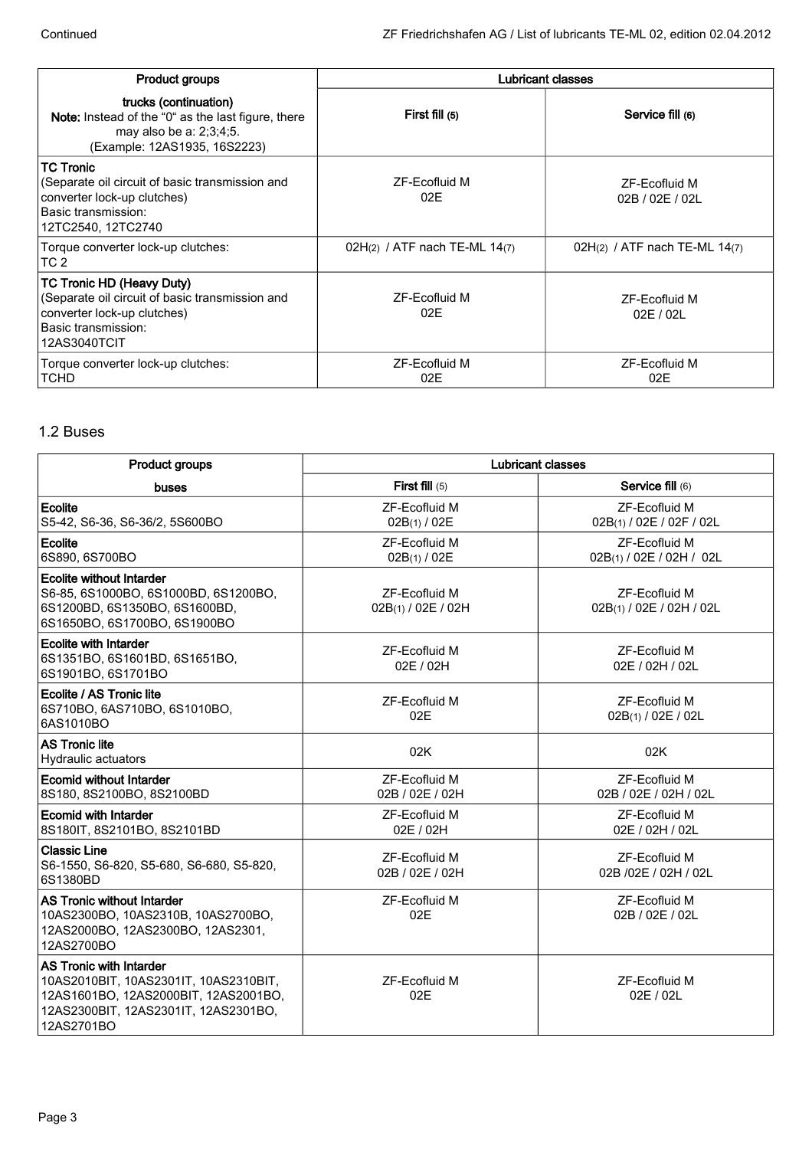| <b>Product groups</b>                                                                                                                                     | <b>Lubricant classes</b>      |                                  |  |
|-----------------------------------------------------------------------------------------------------------------------------------------------------------|-------------------------------|----------------------------------|--|
| trucks (continuation)<br><b>Note:</b> Instead of the "0" as the last figure, there<br>may also be a: 2;3;4;5.<br>(Example: 12AS1935, 16S2223)             | First fill (5)                | Service fill (6)                 |  |
| <b>TC Tronic</b><br>(Separate oil circuit of basic transmission and<br>converter lock-up clutches)<br>Basic transmission:<br>12TC2540, 12TC2740           | <b>ZF-Fcofluid M</b><br>02E   | ZF-Ecofluid M<br>02B / 02E / 02L |  |
| Torque converter lock-up clutches:<br>TC <sub>2</sub>                                                                                                     | 02H(2) / ATF nach TE-ML 14(7) | 02H(2) / ATF nach TE-ML $14(7)$  |  |
| <b>TC Tronic HD (Heavy Duty)</b><br>(Separate oil circuit of basic transmission and<br>converter lock-up clutches)<br>Basic transmission:<br>12AS3040TCIT | ZF-Ecofluid M<br>02E          | ZF-Ecofluid M<br>02E / 02L       |  |
| Torque converter lock-up clutches:<br><b>TCHD</b>                                                                                                         | ZF-Ecofluid M<br>02E          | ZF-Ecofluid M<br>02E             |  |

# 1.2 Buses

| <b>Product groups</b>                                                                                                                                                 | <b>Lubricant classes</b>                    |                                                  |  |
|-----------------------------------------------------------------------------------------------------------------------------------------------------------------------|---------------------------------------------|--------------------------------------------------|--|
| buses                                                                                                                                                                 | <b>First fill</b> $(5)$<br>Service fill (6) |                                                  |  |
| Ecolite<br>S5-42, S6-36, S6-36/2, 5S600BO                                                                                                                             | ZF-Ecofluid M<br>02B(1) / 02E               | ZF-Ecofluid M<br>02B(1) / 02E / 02F / 02L        |  |
| Ecolite<br>6S890, 6S700BO                                                                                                                                             | <b>ZF-Ecofluid M</b><br>02B(1) / 02E        | <b>ZF-Ecofluid M</b><br>02B(1) / 02E / 02H / 02L |  |
| <b>Ecolite without Intarder</b><br>S6-85, 6S1000BO, 6S1000BD, 6S1200BO,<br>6S1200BD, 6S1350BO, 6S1600BD,<br>6S1650BO, 6S1700BO, 6S1900BO                              | <b>ZF-Ecofluid M</b><br>02B(1) / 02E / 02H  | <b>ZF-Ecofluid M</b><br>02B(1) / 02E / 02H / 02L |  |
| <b>Ecolite with Intarder</b><br>6S1351BO, 6S1601BD, 6S1651BO,<br>6S1901BO, 6S1701BO                                                                                   | <b>ZF-Ecofluid M</b><br>02E / 02H           | <b>ZF-Ecofluid M</b><br>02E / 02H / 02L          |  |
| Ecolite / AS Tronic lite<br>6S710BO, 6AS710BO, 6S1010BO,<br>6AS1010BO                                                                                                 | <b>ZF-Ecofluid M</b><br>02E                 | ZF-Ecofluid M<br>02B(1) / 02E / 02L              |  |
| <b>AS Tronic lite</b><br><b>Hydraulic actuators</b>                                                                                                                   | 02K                                         | 02K                                              |  |
| <b>Ecomid without Intarder</b><br>8S180, 8S2100BO, 8S2100BD                                                                                                           | ZF-Ecofluid M<br>02B / 02E / 02H            | ZF-Ecofluid M<br>02B / 02E / 02H / 02L           |  |
| <b>Ecomid with Intarder</b><br>8S180IT, 8S2101BO, 8S2101BD                                                                                                            | <b>ZF-Ecofluid M</b><br>02E / 02H           | <b>ZF-Ecofluid M</b><br>02E / 02H / 02L          |  |
| <b>Classic Line</b><br>S6-1550, S6-820, S5-680, S6-680, S5-820,<br>6S1380BD                                                                                           | <b>ZF-Ecofluid M</b><br>02B / 02E / 02H     | <b>ZF-Ecofluid M</b><br>02B /02E / 02H / 02L     |  |
| AS Tronic without Intarder<br>10AS2300BO, 10AS2310B, 10AS2700BO,<br>12AS2000BO, 12AS2300BO, 12AS2301,<br>12AS2700BO                                                   | ZF-Ecofluid M<br>02E                        | ZF-Ecofluid M<br>02B / 02E / 02L                 |  |
| <b>AS Tronic with Intarder</b><br>10AS2010BIT, 10AS2301IT, 10AS2310BIT,<br>12AS1601BO, 12AS2000BIT, 12AS2001BO,<br>12AS2300BIT, 12AS2301IT, 12AS2301BO,<br>12AS2701BO | <b>ZF-Ecofluid M</b><br>02E                 | <b>ZF-Ecofluid M</b><br>02E / 02L                |  |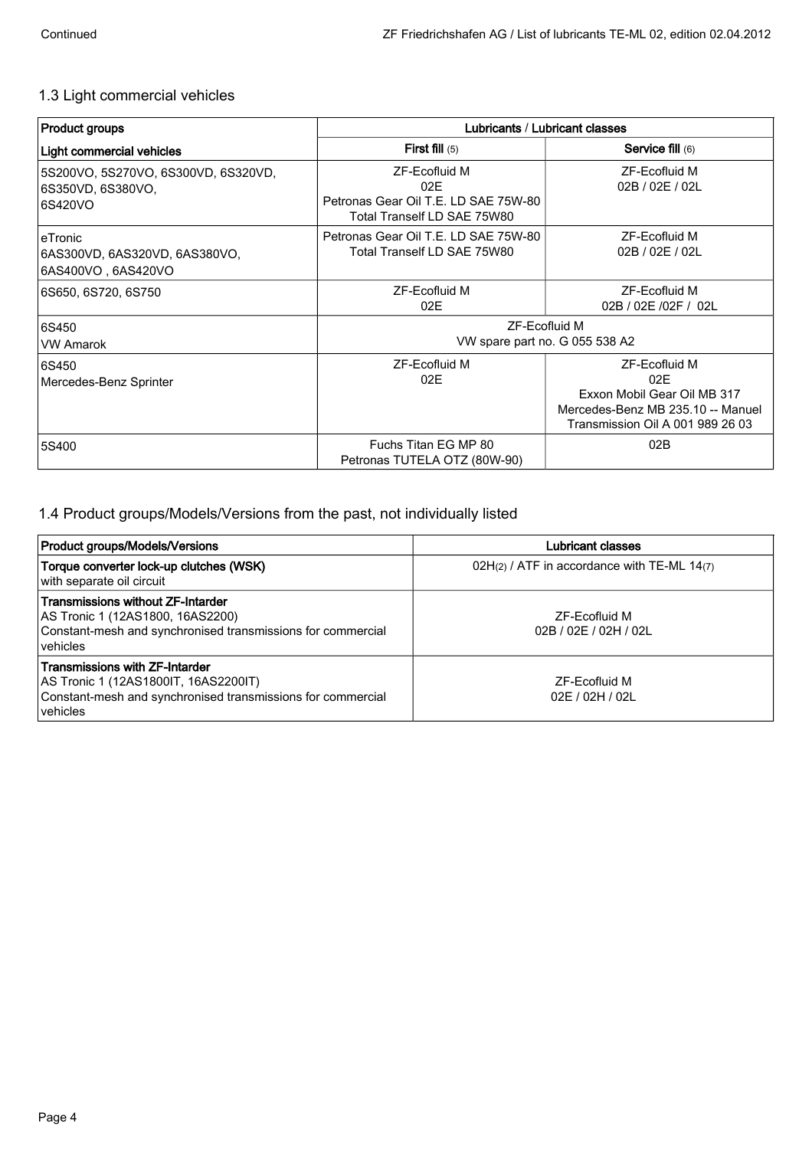## 1.3 Light commercial vehicles

| <b>Product groups</b>                                               | Lubricants / Lubricant classes                                                                     |                                                                                                                              |  |
|---------------------------------------------------------------------|----------------------------------------------------------------------------------------------------|------------------------------------------------------------------------------------------------------------------------------|--|
| Light commercial vehicles                                           | <b>First fill</b> $(5)$                                                                            | <b>Service fill (6)</b>                                                                                                      |  |
| 5S200VO, 5S270VO, 6S300VD, 6S320VD,<br>6S350VD, 6S380VO,<br>6S420VO | <b>ZF-Ecofluid M</b><br>02E<br>Petronas Gear Oil T.E. LD SAE 75W-80<br>Total Tranself LD SAE 75W80 | ZF-Ecofluid M<br>02B / 02E / 02L                                                                                             |  |
| eTronic<br>6AS300VD, 6AS320VD, 6AS380VO,<br>6AS400VO, 6AS420VO      | Petronas Gear Oil T.E. LD SAE 75W-80<br>Total Tranself LD SAE 75W80                                | ZF-Ecofluid M<br>02B / 02E / 02L                                                                                             |  |
| 6S650, 6S720, 6S750                                                 | <b>ZF-Ecofluid M</b><br>02E                                                                        | ZF-Ecofluid M<br>02B / 02E /02F / 02L                                                                                        |  |
| 6S450<br><b>VW Amarok</b>                                           | ZF-Ecofluid M<br>VW spare part no. G 055 538 A2                                                    |                                                                                                                              |  |
| 6S450<br>Mercedes-Benz Sprinter                                     | ZF-Ecofluid M<br>02E                                                                               | ZF-Ecofluid M<br>02E<br>Exxon Mobil Gear Oil MB 317<br>Mercedes-Benz MB 235.10 -- Manuel<br>Transmission Oil A 001 989 26 03 |  |
| 5S400                                                               | Fuchs Titan EG MP 80<br>Petronas TUTELA OTZ (80W-90)                                               | 02B                                                                                                                          |  |

## 1.4 Product groups/Models/Versions from the past, not individually listed

| <b>Product groups/Models/Versions</b>                                                                                                                    | Lubricant classes                             |  |
|----------------------------------------------------------------------------------------------------------------------------------------------------------|-----------------------------------------------|--|
| Torque converter lock-up clutches (WSK)<br>with separate oil circuit                                                                                     | $02H(2)$ / ATF in accordance with TE-ML 14(7) |  |
| Transmissions without ZF-Intarder<br>AS Tronic 1 (12AS1800, 16AS2200)<br>Constant-mesh and synchronised transmissions for commercial<br><u>lvehicles</u> | ZF-Ecofluid M<br>02B / 02E / 02H / 02L        |  |
| Transmissions with ZF-Intarder<br>AS Tronic 1 (12AS1800IT, 16AS2200IT)<br>Constant-mesh and synchronised transmissions for commercial<br>vehicles        | ZF-Ecofluid M<br>02F / 02H / 02I              |  |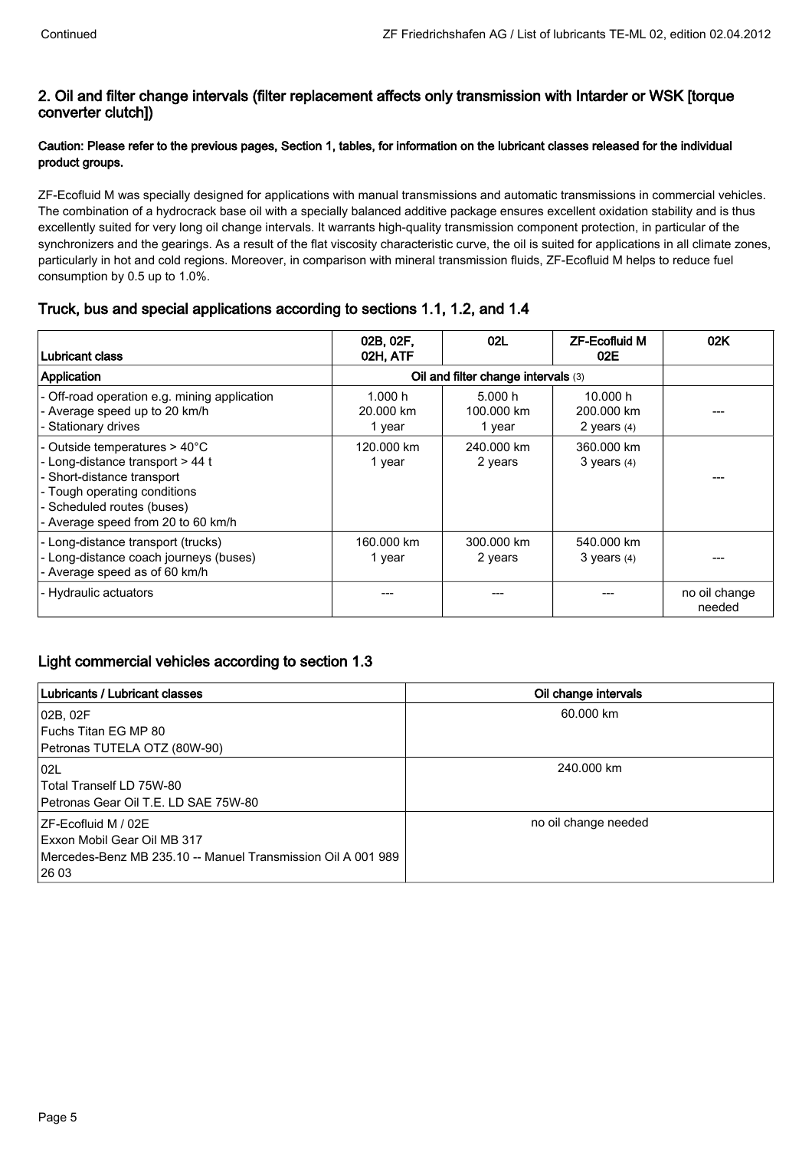## 2. Oil and filter change intervals (filter replacement affects only transmission with Intarder or WSK [torque converter clutch])

## Caution: Please refer to the previous pages, Section 1, tables, for information on the lubricant classes released for the individual product groups.

ZF-Ecofluid M was specially designed for applications with manual transmissions and automatic transmissions in commercial vehicles. The combination of a hydrocrack base oil with a specially balanced additive package ensures excellent oxidation stability and is thus excellently suited for very long oil change intervals. It warrants high-quality transmission component protection, in particular of the synchronizers and the gearings. As a result of the flat viscosity characteristic curve, the oil is suited for applications in all climate zones, particularly in hot and cold regions. Moreover, in comparison with mineral transmission fluids, ZF-Ecofluid M helps to reduce fuel consumption by 0.5 up to 1.0%.

## Truck, bus and special applications according to sections 1.1, 1.2, and 1.4

| Lubricant class                                                                                                                                                                                     | 02B, 02F,<br>02H, ATF          | 02L                                 | <b>ZF-Ecofluid M</b><br>02E             | 02K                     |
|-----------------------------------------------------------------------------------------------------------------------------------------------------------------------------------------------------|--------------------------------|-------------------------------------|-----------------------------------------|-------------------------|
| Application                                                                                                                                                                                         |                                | Oil and filter change intervals (3) |                                         |                         |
| - Off-road operation e.g. mining application<br>- Average speed up to 20 km/h<br>- Stationary drives                                                                                                | 1.000 h<br>20.000 km<br>1 year | 5.000 h<br>100.000 km<br>1 year     | 10.000 h<br>200.000 km<br>2 years $(4)$ |                         |
| - Outside temperatures > 40°C<br>- Long-distance transport > 44 t<br>- Short-distance transport<br>- Tough operating conditions<br>- Scheduled routes (buses)<br>- Average speed from 20 to 60 km/h | 120.000 km<br>1 year           | 240.000 km<br>2 years               | 360.000 km<br>$3$ years $(4)$           |                         |
| - Long-distance transport (trucks)<br>- Long-distance coach journeys (buses)<br>- Average speed as of 60 km/h                                                                                       | 160.000 km<br>1 year           | 300.000 km<br>2 years               | 540.000 km<br>$3$ years $(4)$           |                         |
| - Hydraulic actuators                                                                                                                                                                               |                                |                                     |                                         | no oil change<br>needed |

# Light commercial vehicles according to section 1.3

| Lubricants / Lubricant classes                               | Oil change intervals |
|--------------------------------------------------------------|----------------------|
| 02B, 02F                                                     | 60.000 km            |
| Fuchs Titan EG MP 80                                         |                      |
| Petronas TUTELA OTZ (80W-90)                                 |                      |
| 02L                                                          | 240.000 km           |
| Total Tranself LD 75W-80                                     |                      |
| Petronas Gear Oil T.E. LD SAE 75W-80                         |                      |
| IZF-Ecofluid M / 02E                                         | no oil change needed |
| Exxon Mobil Gear Oil MB 317                                  |                      |
| Mercedes-Benz MB 235.10 -- Manuel Transmission Oil A 001 989 |                      |
| 26 03                                                        |                      |